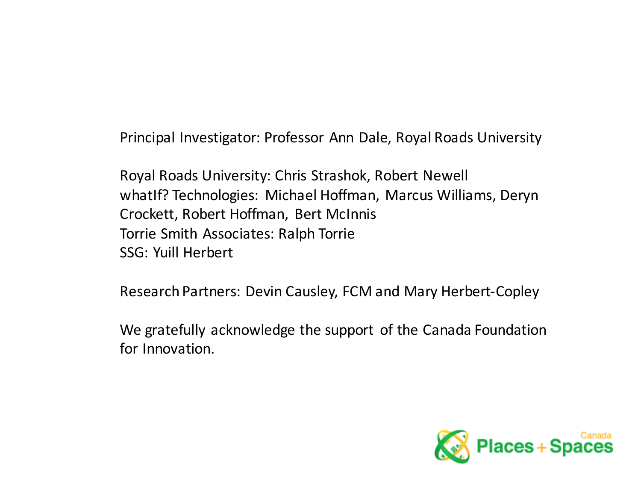Principal Investigator: Professor Ann Dale, Royal Roads University

Royal Roads University: Chris Strashok, Robert Newell whatIf? Technologies: Michael Hoffman, Marcus Williams, Deryn Crockett, Robert Hoffman, Bert McInnis Torrie Smith Associates: Ralph Torrie SSG: Yuill Herbert

Research Partners: Devin Causley, FCM and Mary Herbert-Copley

We gratefully acknowledge the support of the Canada Foundation for Innovation.

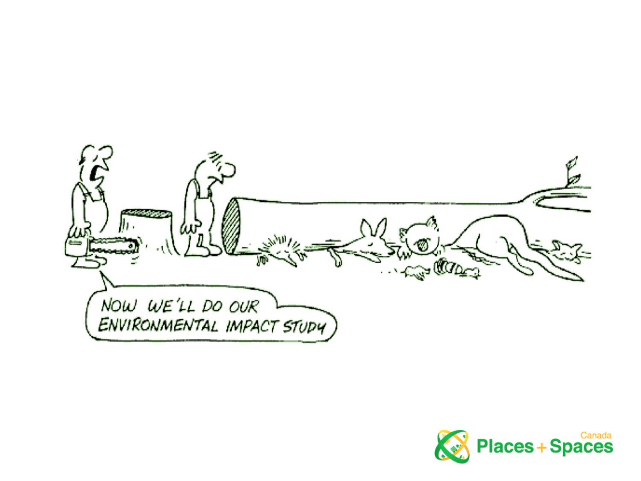

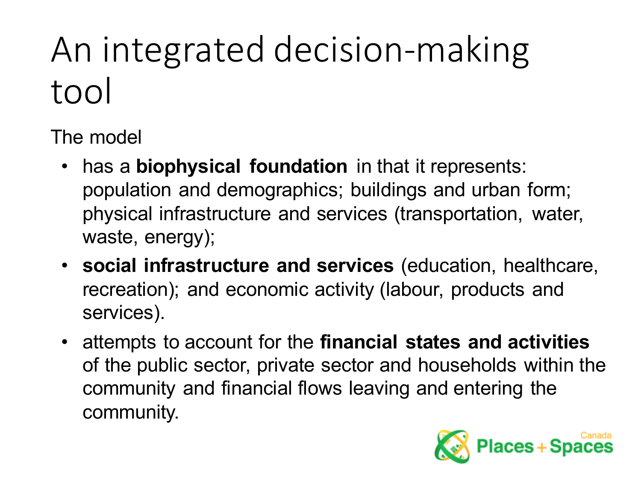# An integrated decision-making tool

The model

- has a **biophysical foundation** in that it represents: population and demographics; buildings and urban form; physical infrastructure and services (transportation, water, waste, energy);
- **social infrastructure and services** (education, healthcare, recreation); and economic activity (labour, products and services).
- attempts to account for the **financial states and activities** of the public sector, private sector and households within the community and financial flows leaving and entering the community.

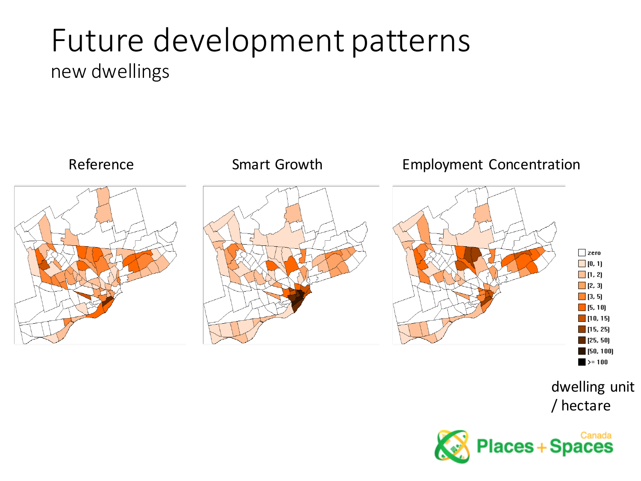#### Future development patterns new dwellings



/ hectare

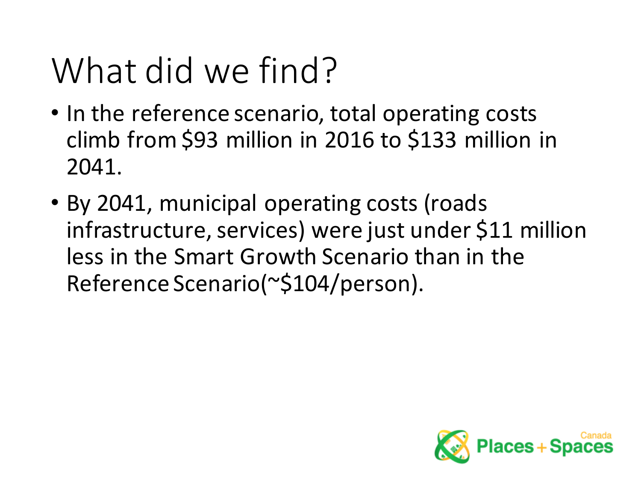## What did we find?

- In the reference scenario, total operating costs climb from \$93 million in 2016 to \$133 million in 2041.
- By 2041, municipal operating costs (roads infrastructure, services) were just under \$11 million less in the Smart Growth Scenario than in the Reference Scenario(~\$104/person).

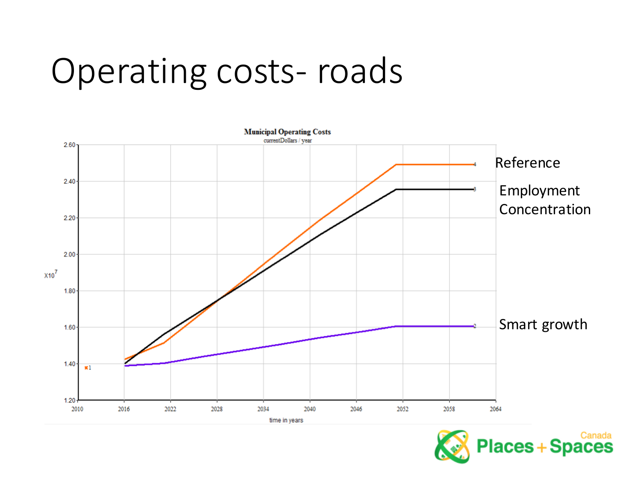#### Operating costs-roads